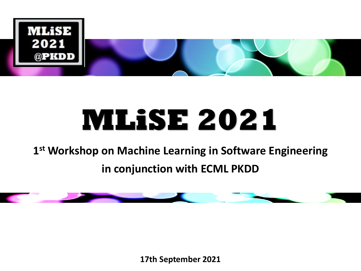

# **MLiSE 2021**

#### **1 st Workshop on Machine Learning in Software Engineering in conjunction with ECML PKDD**



**17th September 2021**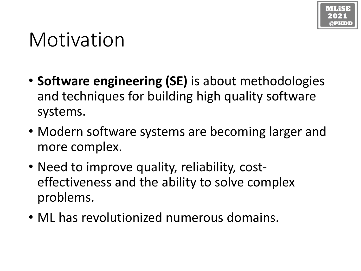

### Motivation

- **Software engineering (SE)** is about methodologies and techniques for building high quality software systems.
- Modern software systems are becoming larger and more complex.
- Need to improve quality, reliability, costeffectiveness and the ability to solve complex problems.
- ML has revolutionized numerous domains.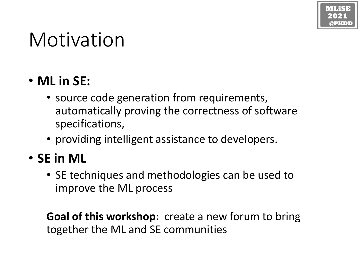## Motivation

#### • **ML in SE:**

- source code generation from requirements, automatically proving the correctness of software specifications,
- providing intelligent assistance to developers.

#### • **SE in ML**

• SE techniques and methodologies can be used to improve the ML process

**Goal of this workshop:** create a new forum to bring together the ML and SE communities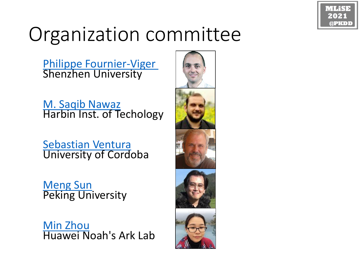

## Organization committee

[Philippe Fournier-Viger](http://www.philippe-fournier-viger.com/) Shenzhen University

[M. Saqib Nawaz](https://www.researchgate.net/profile/M-Saqib-Nawaz-2) Harbin Inst. of Techology

[Sebastian Ventura](http://www.uco.es/users/sventura/) University of Cordoba

[Meng Sun](https://www.math.pku.edu.cn/teachers/sunm/indexen.html) Peking University

[Min Zhou](https://www.researchgate.net/profile/Min-Zhou-26) Huawei Noah's Ark Lab

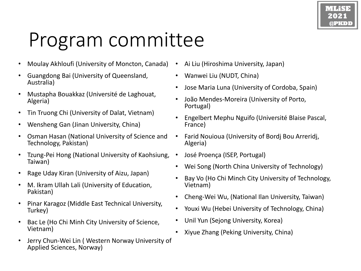## Program committee

- Moulay Akhloufi (University of Moncton, Canada)
- Guangdong Bai (University of Queensland, Australia)
- Mustapha Bouakkaz (Université de Laghouat, Algeria)
- Tin Truong Chi (University of Dalat, Vietnam)
- Wensheng Gan (Jinan University, China)
- Osman Hasan (National University of Science and Technology, Pakistan)
- Tzung-Pei Hong (National University of Kaohsiung, Taiwan)
- Rage Uday Kiran (University of Aizu, Japan)
- M. Ikram Ullah Lali (University of Education, Pakistan)
- Pinar Karagoz (Middle East Technical University, Turkey)
- Bac Le (Ho Chi Minh City University of Science, Vietnam)
- Jerry Chun-Wei Lin ( Western Norway University of Applied Sciences, Norway)
- Ai Liu (Hiroshima University, Japan)
- Wanwei Liu (NUDT, China)
- Jose Maria Luna (University of Cordoba, Spain)
- João Mendes-Moreira (University of Porto, Portugal)
- Engelbert Mephu Nguifo (Université Blaise Pascal, France)
- Farid Nouioua (University of Bordj Bou Arreridj, Algeria)
- José Proença (ISEP, Portugal)
- Wei Song (North China University of Technology)
- Bay Vo (Ho Chi Minch City University of Technology, Vietnam)
- Cheng-Wei Wu, (National Ilan University, Taiwan)
- Youxi Wu (Hebei University of Technology, China)
- Unil Yun (Sejong University, Korea)
- Xiyue Zhang (Peking University, China)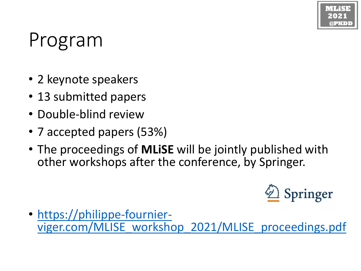## Program

- 2 keynote speakers
- 13 submitted papers
- Double-blind review
- 7 accepted papers (53%)
- The proceedings of **MLiSE** will be jointly published with other workshops after the conference, by Springer.



• https://philippe-fournier[viger.com/MLISE\\_workshop\\_2021/MLISE\\_proceedings.pdf](https://philippe-fournier-viger.com/MLISE_workshop_2021/MLISE_proceedings.pdf)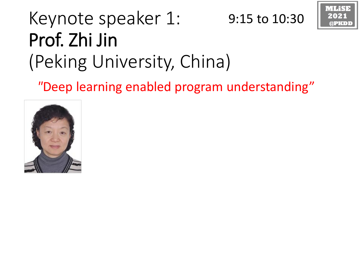#### Keynote speaker 1: Prof. Zhi Jin (Peking University, China) 9:15 to 10:30



*"*Deep learning enabled program understanding"

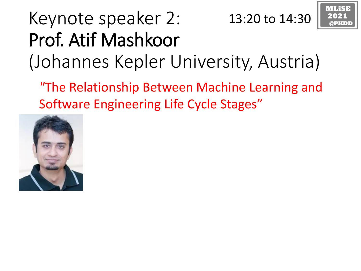#### Keynote speaker 2: Prof. Atif Mashkoor (Johannes Kepler University, Austria) 13:20 to 14:30

*"*The Relationship Between Machine Learning and Software Engineering Life Cycle Stages"

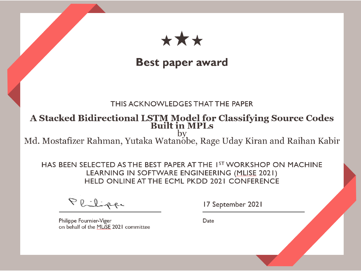

#### **Best paper award**

#### THIS ACKNOWLEDGES THAT THE PAPER

### A Stacked Bidirectional LSTM Model for Classifying Source Codes<br>Built in MPLs

by Md. Mostafizer Rahman, Yutaka Watanobe, Rage Uday Kiran and Raihan Kabir

HAS BEEN SELECTED AS THE BEST PAPER AT THE 1ST WORKSHOP ON MACHINE LEARNING IN SOFTWARE ENGINEERING (MLISE 2021) HELD ONLINE AT THE ECML PKDD 2021 CONFERENCE

Philippe

17 September 2021

Philippe Fournier-Viger on behalf of the MLISE 2021 committee Date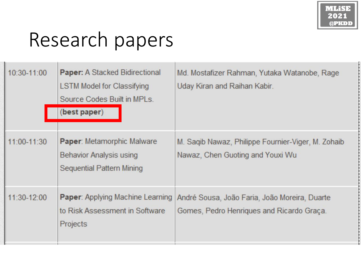## Research papers

| 10:30-11:00 | <b>Paper:</b> A Stacked Bidirectional<br><b>LSTM Model for Classifying</b><br>Source Codes Built in MPLs.<br>(best paper) | Md. Mostafizer Rahman, Yutaka Watanobe, Rage<br>Uday Kiran and Raihan Kabir.               |
|-------------|---------------------------------------------------------------------------------------------------------------------------|--------------------------------------------------------------------------------------------|
| 11:00-11:30 | Paper: Metamorphic Malware<br>Behavior Analysis using<br>Sequential Pattern Mining                                        | M. Sagib Nawaz, Philippe Fournier-Viger, M. Zohaib<br>Nawaz, Chen Guoting and Youxi Wu     |
| 11:30-12:00 | <b>Paper:</b> Applying Machine Learning<br>to Risk Assessment in Software<br>Projects                                     | André Sousa, João Faria, João Moreira, Duarte<br>Gomes, Pedro Henriques and Ricardo Graça. |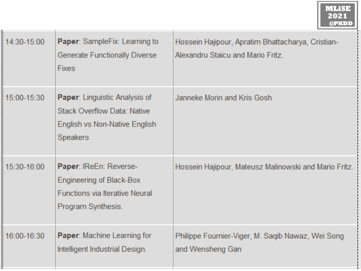| 14:30-15:00 | <b>Paper:</b> SampleFix: Learning to<br><b>Generate Functionally Diverse</b><br><b>Fixes</b>                                   | Hossein Hajipour, Apratim Bhattacharya, Cristian-<br>Alexandru Staicu and Mario Fritz. |
|-------------|--------------------------------------------------------------------------------------------------------------------------------|----------------------------------------------------------------------------------------|
| 15:00-15:30 | <b>Paper:</b> Linguistic Analysis of<br><b>Stack Overflow Data: Native</b><br>English vs Non-Native English<br><b>Speakers</b> | Janneke Morin and Kris Gosh                                                            |
| 15:30-16:00 | Paper: IReEn: Reverse-<br><b>Engineering of Black-Box</b><br><b>Functions via Iterative Neural</b><br>Program Synthesis.       | Hossein Hajipour, Mateusz Malinowski and Mario Fritz.                                  |
| 16:00-16:30 | <b>Paper:</b> Machine Learning for<br>Intelligent Industrial Design.                                                           | Philippe Fournier-Viger, M. Saqib Nawaz, Wei Song<br>and Wensheng Gan                  |